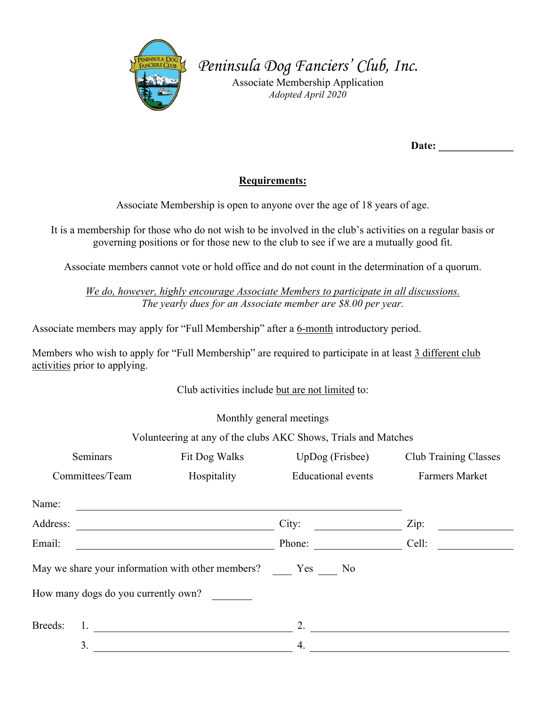

*Peninsula Dog Fanciers' Club, Inc.*

Associate Membership Application *Adopted April 2020* 

Date:

## **Requirements:**

Associate Membership is open to anyone over the age of 18 years of age.

It is a membership for those who do not wish to be involved in the club's activities on a regular basis or governing positions or for those new to the club to see if we are a mutually good fit.

Associate members cannot vote or hold office and do not count in the determination of a quorum.

*We do, however, highly encourage Associate Members to participate in all discussions. The yearly dues for an Associate member are \$8.00 per year.*

Associate members may apply for "Full Membership" after a 6-month introductory period.

Members who wish to apply for "Full Membership" are required to participate in at least 3 different club activities prior to applying.

Club activities include but are not limited to:

Monthly general meetings

Volunteering at any of the clubs AKC Shows, Trials and Matches

| <b>Seminars</b>                     | Fit Dog Walks                                                      | $UpDog$ (Frisbee)         | <b>Club Training Classes</b> |  |
|-------------------------------------|--------------------------------------------------------------------|---------------------------|------------------------------|--|
| Committees/Team                     | Hospitality                                                        | <b>Educational</b> events | <b>Farmers Market</b>        |  |
| Name:                               |                                                                    |                           |                              |  |
| Address:                            | <u> 1989 - Andrea Station Barbara, amerikan personal (h. 1989)</u> | City:                     | Zip:                         |  |
| Email:                              |                                                                    | Phone:                    | Cell:                        |  |
|                                     | May we share your information with other members? Yes No           |                           |                              |  |
| How many dogs do you currently own? |                                                                    |                           |                              |  |
| Breeds:                             |                                                                    | 2.                        |                              |  |
| 3.                                  |                                                                    | 4.                        |                              |  |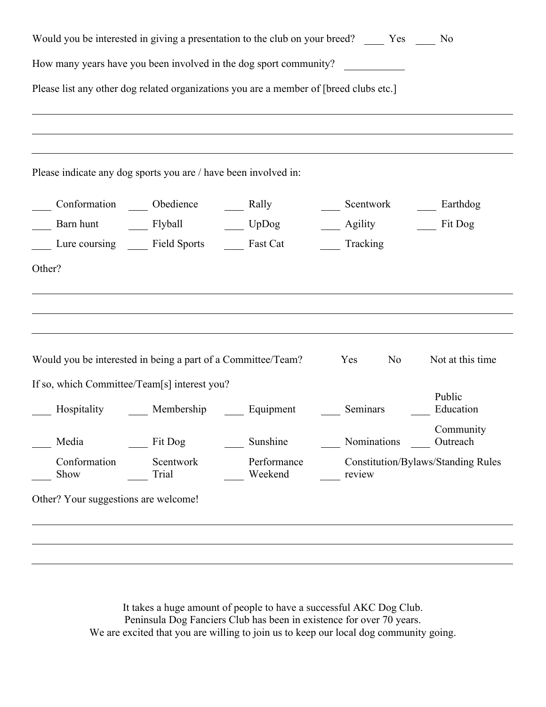| Would you be interested in giving a presentation to the club on your breed? ______ Yes _____ No |                                                    |             |                              |                                           |  |
|-------------------------------------------------------------------------------------------------|----------------------------------------------------|-------------|------------------------------|-------------------------------------------|--|
| How many years have you been involved in the dog sport community?                               |                                                    |             |                              |                                           |  |
| Please list any other dog related organizations you are a member of [breed clubs etc.]          |                                                    |             |                              |                                           |  |
|                                                                                                 |                                                    |             |                              |                                           |  |
|                                                                                                 |                                                    |             |                              |                                           |  |
| Please indicate any dog sports you are / have been involved in:                                 |                                                    |             |                              |                                           |  |
|                                                                                                 | Conformation ______ Obedience ________ Rally       |             | Scentwork ________ Earthdog  |                                           |  |
|                                                                                                 |                                                    |             | ____ Agility _______ Fit Dog |                                           |  |
|                                                                                                 | Lure coursing ______ Field Sports _______ Fast Cat |             | Tracking                     |                                           |  |
| Other?                                                                                          |                                                    |             |                              |                                           |  |
|                                                                                                 |                                                    |             |                              |                                           |  |
|                                                                                                 |                                                    |             |                              |                                           |  |
|                                                                                                 |                                                    |             |                              |                                           |  |
|                                                                                                 |                                                    |             |                              |                                           |  |
| Would you be interested in being a part of a Committee/Team?                                    |                                                    |             | No<br>Yes                    | Not at this time                          |  |
| If so, which Committee/Team[s] interest you?                                                    |                                                    |             |                              |                                           |  |
|                                                                                                 | Hospitality Membership Equipment                   |             | Seminars                     | Public<br>Education                       |  |
|                                                                                                 |                                                    |             |                              |                                           |  |
| Media                                                                                           | Fit Dog                                            | Sunshine    | Nominations                  | Community<br>Outreach                     |  |
| Conformation                                                                                    | Scentwork                                          | Performance |                              | <b>Constitution/Bylaws/Standing Rules</b> |  |
| Show                                                                                            | Trial                                              | Weekend     | review                       |                                           |  |
| Other? Your suggestions are welcome!                                                            |                                                    |             |                              |                                           |  |
|                                                                                                 |                                                    |             |                              |                                           |  |
|                                                                                                 |                                                    |             |                              |                                           |  |

It takes a huge amount of people to have a successful AKC Dog Club. Peninsula Dog Fanciers Club has been in existence for over 70 years. We are excited that you are willing to join us to keep our local dog community going.